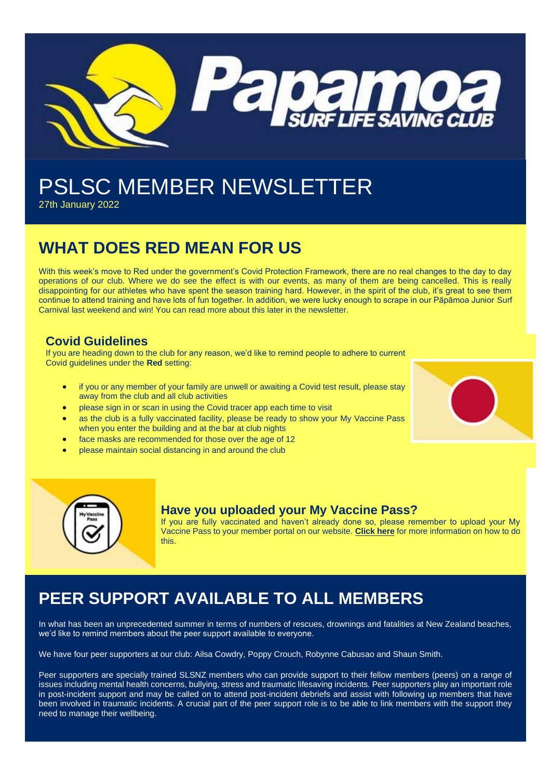

# PSLSC MEMBER NEWSLETTER

27th January 2022

# **WHAT DOES RED MEAN FOR US**

With this week's move to Red under the government's Covid Protection Framework, there are no real changes to the day to day operations of our club. Where we do see the effect is with our events, as many of them are being cancelled. This is really disappointing for our athletes who have spent the season training hard. However, in the spirit of the club, it's great to see them continue to attend training and have lots of fun together. In addition, we were lucky enough to scrape in our Pāpāmoa Junior Surf Carnival last weekend and win! You can read more about this later in the newsletter.

### **Covid Guidelines**

If you are heading down to the club for any reason, we'd like to remind people to adhere to current Covid guidelines under the **Red** setting:

- if you or any member of your family are unwell or awaiting a Covid test result, please stay away from the club and all club activities
- please sign in or scan in using the Covid tracer app each time to visit
- as the club is a fully vaccinated facility, please be ready to show your My Vaccine Pass when you enter the building and at the bar at club nights
- face masks are recommended for those over the age of 12
- please maintain social distancing in and around the club





### **Have you uploaded your My Vaccine Pass?**

If you are fully vaccinated and haven't already done so, please remember to upload your My Vaccine Pass to your member portal on our website. **[Click here](https://papamoalifeguards.co.nz/register)** for more information on how to do this.

# **PEER SUPPORT AVAILABLE TO ALL MEMBERS**

In what has been an unprecedented summer in terms of numbers of rescues, drownings and fatalities at New Zealand beaches, we'd like to remind members about the peer support available to everyone.

We have four peer supporters at our club: Ailsa Cowdry, Poppy Crouch, Robynne Cabusao and Shaun Smith.

Peer supporters are specially trained SLSNZ members who can provide support to their fellow members (peers) on a range of issues including mental health concerns, bullying, stress and traumatic lifesaving incidents. Peer supporters play an important role in post-incident support and may be called on to attend post-incident debriefs and assist with following up members that have been involved in traumatic incidents. A crucial part of the peer support role is to be able to link members with the support they need to manage their wellbeing.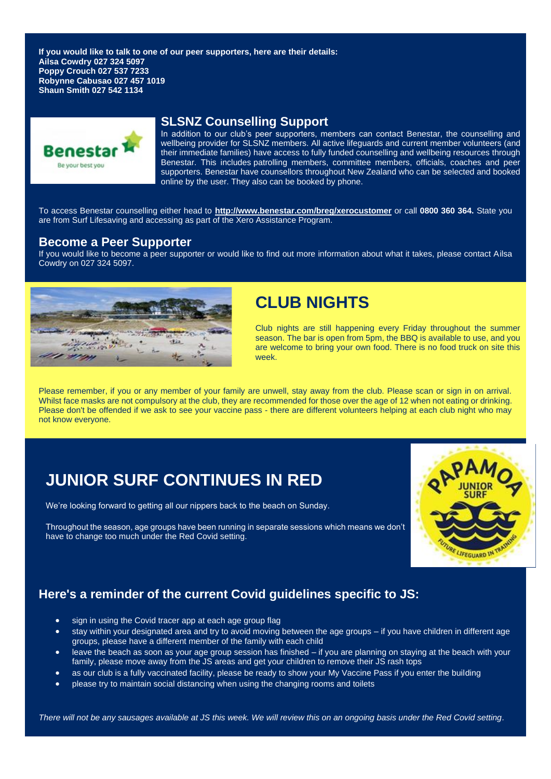**If you would like to talk to one of our peer supporters, here are their details: Ailsa Cowdry 027 324 5097 Poppy Crouch 027 537 7233 Robynne Cabusao 027 457 1019 Shaun Smith 027 542 1134**



#### **SLSNZ Counselling Support**

In addition to our club's peer supporters, members can contact Benestar, the counselling and wellbeing provider for SLSNZ members. All active lifeguards and current member volunteers (and their immediate families) have access to fully funded counselling and wellbeing resources through Benestar. This includes patrolling members, committee members, officials, coaches and peer supporters. Benestar have counsellors throughout New Zealand who can be selected and booked online by the user. They also can be booked by phone.

To access Benestar counselling either head to **<http://www.benestar.com/breg/xerocustomer>** or call **0800 360 364.** State you are from Surf Lifesaving and accessing as part of the Xero Assistance Program.

#### **Become a Peer Supporter**

If you would like to become a peer supporter or would like to find out more information about what it takes, please contact Ailsa Cowdry on 027 324 5097.



# **CLUB NIGHTS**

Club nights are still happening every Friday throughout the summer season. The bar is open from 5pm, the BBQ is available to use, and you are welcome to bring your own food. There is no food truck on site this week.

Please remember, if you or any member of your family are unwell, stay away from the club. Please scan or sign in on arrival. Whilst face masks are not compulsory at the club, they are recommended for those over the age of 12 when not eating or drinking. Please don't be offended if we ask to see your vaccine pass - there are different volunteers helping at each club night who may not know everyone.

# **JUNIOR SURF CONTINUES IN RED**

We're looking forward to getting all our nippers back to the beach on Sunday.

Throughout the season, age groups have been running in separate sessions which means we don't have to change too much under the Red Covid setting.



# **Here's a reminder of the current Covid guidelines specific to JS:**

- sign in using the Covid tracer app at each age group flag
- stay within your designated area and try to avoid moving between the age groups if you have children in different age groups, please have a different member of the family with each child
- leave the beach as soon as your age group session has finished if you are planning on staying at the beach with your family, please move away from the JS areas and get your children to remove their JS rash tops
- as our club is a fully vaccinated facility, please be ready to show your My Vaccine Pass if you enter the building
- please try to maintain social distancing when using the changing rooms and toilets

*There will not be any sausages available at JS this week. We will review this on an ongoing basis under the Red Covid setting.*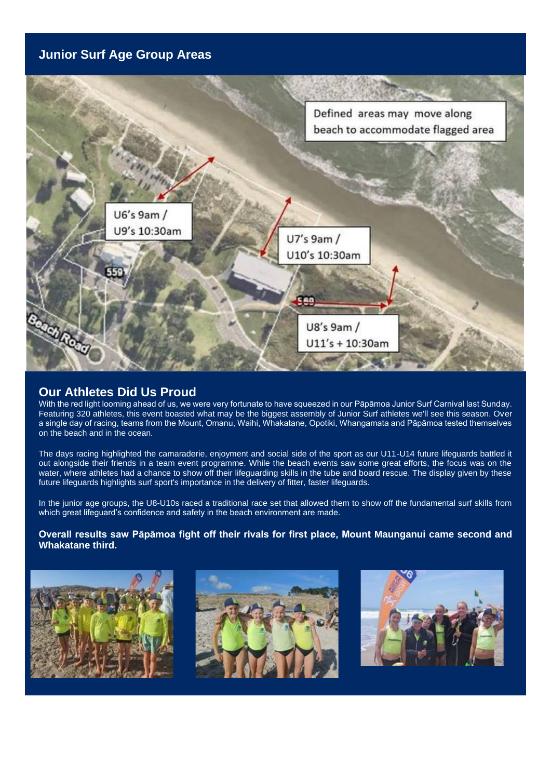## **Junior Surf Age Group Areas**



### **Our Athletes Did Us Proud**

With the red light looming ahead of us, we were very fortunate to have squeezed in our Pāpāmoa Junior Surf Carnival last Sunday. Featuring 320 athletes, this event boasted what may be the biggest assembly of Junior Surf athletes we'll see this season. Over a single day of racing, teams from the Mount, Omanu, Waihi, Whakatane, Opotiki, Whangamata and Pāpāmoa tested themselves on the beach and in the ocean.

The days racing highlighted the camaraderie, enjoyment and social side of the sport as our U11-U14 future lifeguards battled it out alongside their friends in a team event programme. While the beach events saw some great efforts, the focus was on the water, where athletes had a chance to show off their lifeguarding skills in the tube and board rescue. The display given by these future lifeguards highlights surf sport's importance in the delivery of fitter, faster lifeguards.

In the junior age groups, the U8-U10s raced a traditional race set that allowed them to show off the fundamental surf skills from which great lifequard's confidence and safety in the beach environment are made.

**Overall results saw Pāpāmoa fight off their rivals for first place, Mount Maunganui came second and Whakatane third.**





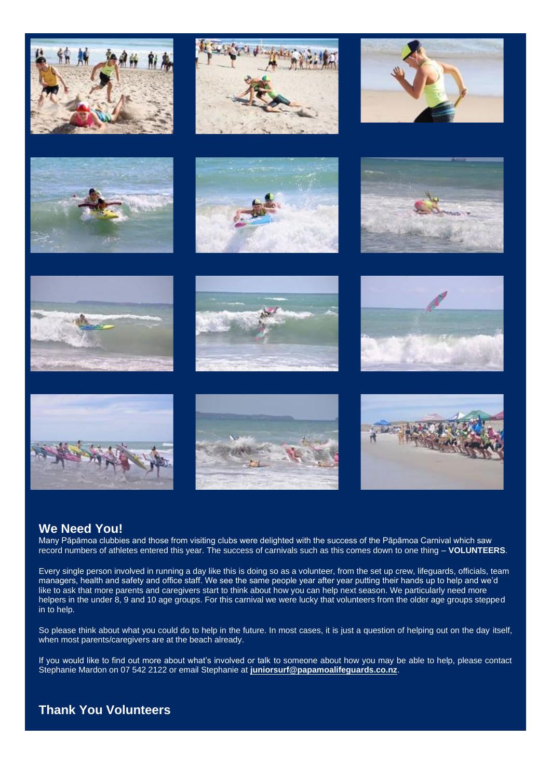

## **We Need You!**

Many Pāpāmoa clubbies and those from visiting clubs were delighted with the success of the Pāpāmoa Carnival which saw record numbers of athletes entered this year. The success of carnivals such as this comes down to one thing – **VOLUNTEERS**.

Every single person involved in running a day like this is doing so as a volunteer, from the set up crew, lifeguards, officials, team managers, health and safety and office staff. We see the same people year after year putting their hands up to help and we'd like to ask that more parents and caregivers start to think about how you can help next season. We particularly need more helpers in the under 8, 9 and 10 age groups. For this carnival we were lucky that volunteers from the older age groups stepped in to help.

So please think about what you could do to help in the future. In most cases, it is just a question of helping out on the day itself, when most parents/caregivers are at the beach already.

If you would like to find out more about what's involved or talk to someone about how you may be able to help, please contact Stephanie Mardon on 07 542 2122 or email Stephanie at **[juniorsurf@papamoalifeguards.co.nz](mailto:juniorsurf@papamoalifeguards.co.nz)**.

## **Thank You Volunteers**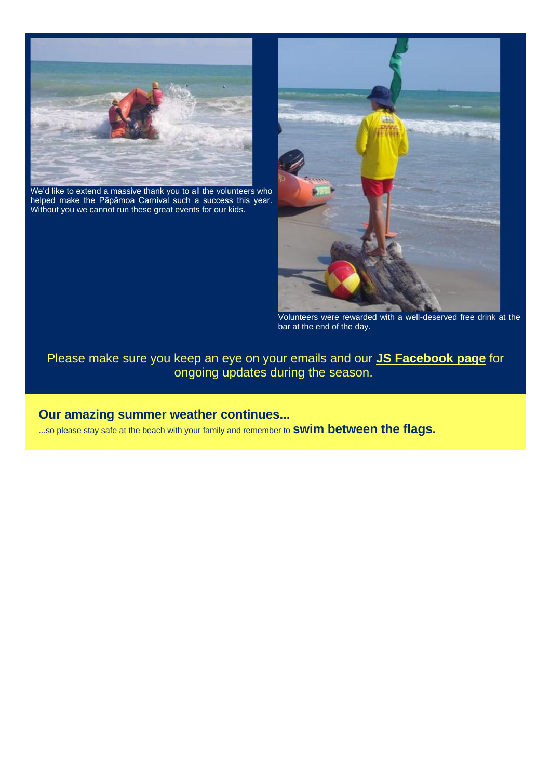

We'd like to extend a massive thank you to all the volunteers who helped make the Pāpāmoa Carnival such a success this year. Without you we cannot run these great events for our kids.



Volunteers were rewarded with a well-deserved free drink at the bar at the end of the day.

Please make sure you keep an eye on your emails and our **[JS Facebook page](https://www.facebook.com/groups/PSLSCJuniorSurf)** for ongoing updates during the season.

## **Our amazing summer weather continues...**

...so please stay safe at the beach with your family and remember to **swim between the flags.**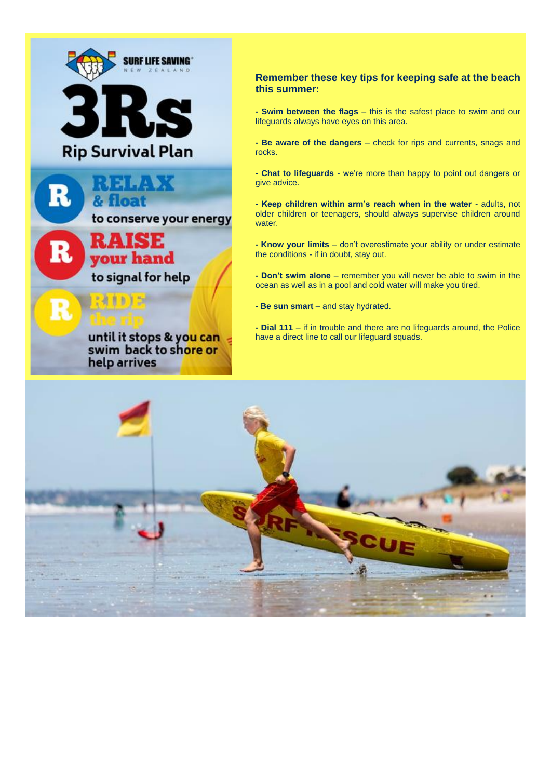

until it stops & you can swim back to shore or help arrives

#### **Remember these key tips for keeping safe at the beach this summer:**

**- Swim between the flags** – this is the safest place to swim and our lifeguards always have eyes on this area.

**- Be aware of the dangers** – check for rips and currents, snags and rocks.

**- Chat to lifeguards** - we're more than happy to point out dangers or give advice.

**- Keep children within arm's reach when in the water** - adults, not older children or teenagers, should always supervise children around water.

**- Know your limits** – don't overestimate your ability or under estimate the conditions - if in doubt, stay out.

**- Don't swim alone** – remember you will never be able to swim in the ocean as well as in a pool and cold water will make you tired.

**- Be sun smart** – and stay hydrated.

**- Dial 111** – if in trouble and there are no lifeguards around, the Police have a direct line to call our lifeguard squads.

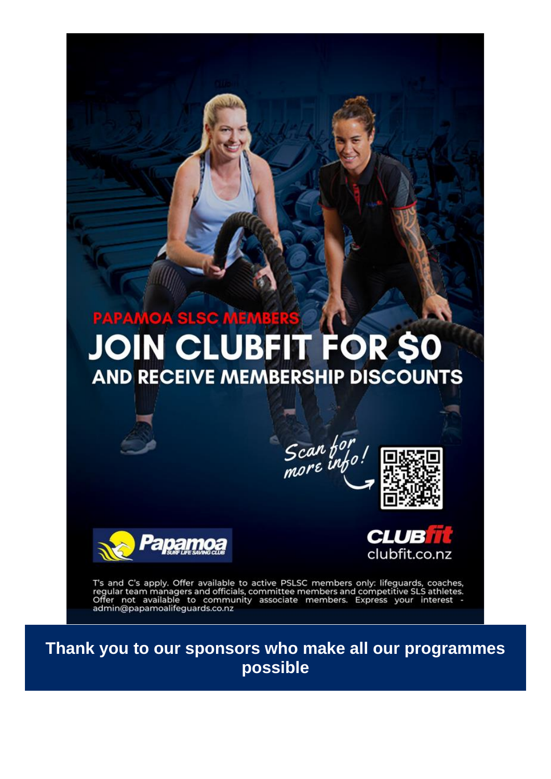# **PAPAMOA SLSC MEMBERS JOIN CLUBFIT FOR SO AND RECEIVE MEMBERSHIP DISCOUNTS**

Scan for





clubfit.co.nz

T's and C's apply. Offer available to active PSLSC members only: lifeguards, coaches, regular team managers and officials, committee members and competitive SLS athletes.<br>Offer not available to community associate members.

**Thank you to our sponsors who make all our programmes possible**